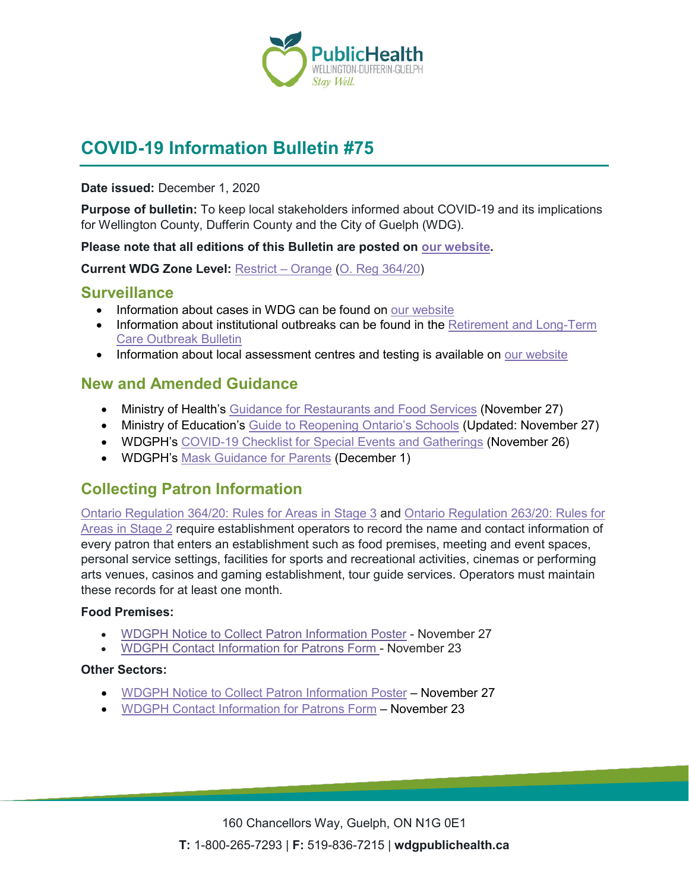

# **COVID-19 Information Bulletin #75**

#### **Date issued:** December 1, 2020

**Purpose of bulletin:** To keep local stakeholders informed about COVID-19 and its implications for Wellington County, Dufferin County and the City of Guelph (WDG).

#### **Please note that all editions of this Bulletin are posted on [our website.](https://www.wdgpublichealth.ca/your-health/covid-19-information-workplaces-and-living-spaces/community-stakeholder-bulletins)**

**Current WDG Zone Level:** [Restrict –](https://www.ontario.ca/page/covid-19-response-framework-keeping-ontario-safe-and-open#orange) Orange [\(O. Reg 364/20\)](https://www.ontario.ca/laws/regulation/200364)

### **Surveillance**

- Information about cases in WDG can be found on [our website](https://wdgpublichealth.ca/your-health/covid-19-information-public/status-cases-wdg)
- Information about institutional outbreaks can be found in the Retirement and Long-Term [Care Outbreak Bulletin](https://wdgpublichealth.ca/node/1542)
- Information about local assessment centres and testing is available on [our website](https://www.wdgpublichealth.ca/your-health/covid-19-information-public/assessment-centres-wdg)

### **New and Amended Guidance**

- Ministry of Health's [Guidance for Restaurants and Food Services](https://www.ontario.ca/page/restaurant-and-food-services-health-and-safety-during-covid-19) (November 27)
- Ministry of Education's [Guide to Reopening Ontario's Schools](https://www.ontario.ca/page/covid-19-reopening-schools) (Updated: November 27)
- WDGPH's [COVID-19 Checklist for Special Events and](https://www.wdgpublichealth.ca/sites/default/files/covid-19_guidance_checklist_for_special_events_-_orange_nov_29_2020_0.pdf) Gatherings (November 26)
- WDGPH's [Mask Guidance for Parents](https://wdgpublichealth.ca/sites/default/files/mask_guidance_for_parents_dec_1_2020.pdf) (December 1)

## **Collecting Patron Information**

[Ontario Regulation 364/20: Rules for Areas in Stage 3](https://www.ontario.ca/laws/regulation/200364) and [Ontario Regulation 263/20: Rules for](https://www.ontario.ca/laws/regulation/200263)  [Areas in Stage 2](https://www.ontario.ca/laws/regulation/200263) require establishment operators to record the name and contact information of every patron that enters an establishment such as food premises, meeting and event spaces, personal service settings, facilities for sports and recreational activities, cinemas or performing arts venues, casinos and gaming establishment, tour guide services. Operators must maintain these records for at least one month.

#### **Food Premises:**

- WDGPH [Notice to Collect Patron Information Poster](https://wdgpublichealth.ca/sites/default/files/covid19_food_premise_info_collection_notice_-_y_o_r.pdf) November 27
- WDGPH [Contact Information for Patrons Form](https://wdgpublichealth.ca/sites/default/files/covid19_contact_info_template_food_premises_-_y_o_r.pdf) November 23

#### **Other Sectors:**

- WDGPH [Notice to Collect Patron Information Poster](https://wdgpublichealth.ca/sites/default/files/covid19_gen_setting_info_collection_notice_-_y_o_r.pdf) November 27
- WDGPH [Contact Information for Patrons Form](https://wdgpublichealth.ca/sites/default/files/covid19_contact_info_template_other_premises_-_y_o_r.pdf) November 23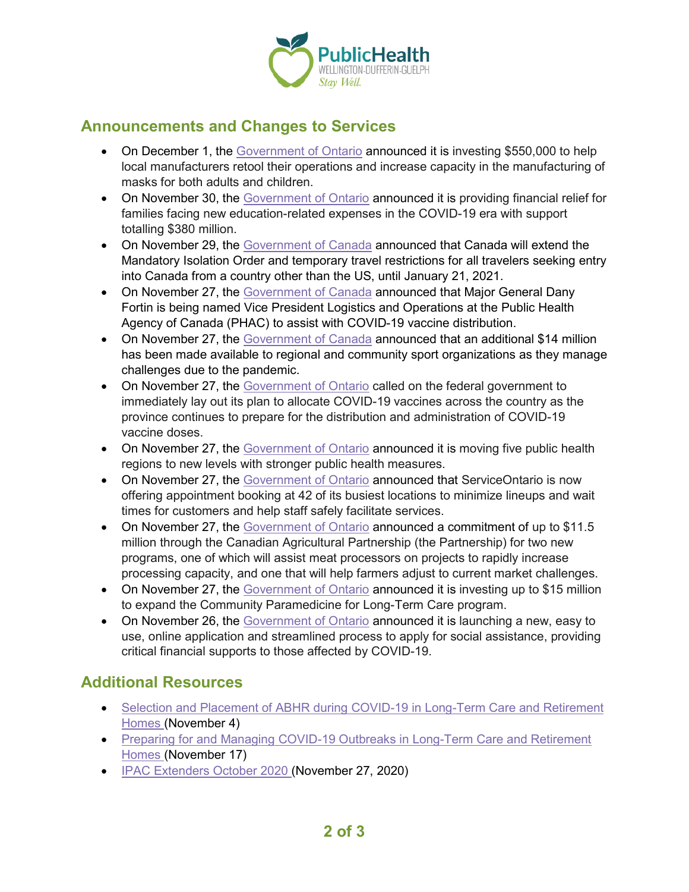

### **Announcements and Changes to Services**

- On December 1, the [Government of Ontario](https://news.ontario.ca/en/release/59422/ontario-supports-local-manufacturers-producing-masks-for-adults-and-children) announced it is investing \$550,000 to help local manufacturers retool their operations and increase capacity in the manufacturing of masks for both adults and children.
- On November 30, the [Government of Ontario](https://news.ontario.ca/en/release/59415/ontario-providing-additional-financial-support-for-young-learners) announced it is providing financial relief for families facing new education-related expenses in the COVID-19 era with support totalling \$380 million.
- On November 29, the [Government of Canada](https://www.canada.ca/en/public-safety-canada/news/2020/11/government-of-canada-announces-extension-of-travel-restrictions.html) announced that Canada will extend the Mandatory Isolation Order and temporary travel restrictions for all travelers seeking entry into Canada from a country other than the US, until January 21, 2021.
- On November 27, the [Government of Canada](https://www.canada.ca/en/public-health/news/2020/11/major-general-dany-fortin-assisting-government-of-canadas-vaccine-distribution-planning.html) announced that Major General Dany Fortin is being named Vice President Logistics and Operations at the Public Health Agency of Canada (PHAC) to assist with COVID-19 vaccine distribution.
- On November 27, the [Government of Canada](https://www.canada.ca/en/canadian-heritage/news/2020/11/additional-covid-19-emergency-funding-to-support-the-sport-community-through-the-provinces-and-territories.html) announced that an additional \$14 million has been made available to regional and community sport organizations as they manage challenges due to the pandemic.
- On November 27, the [Government of Ontario](https://news.ontario.ca/en/release/59401/ontario-calls-on-ottawa-for-certainty-as-covid-19-vaccine-preparation-continues) called on the federal government to immediately lay out its plan to allocate COVID-19 vaccines across the country as the province continues to prepare for the distribution and administration of COVID-19 vaccine doses.
- On November 27, the [Government of Ontario](https://news.ontario.ca/en/release/59388/ontario-moving-regions-to-new-levels-in-covid-19-response-framework) announced it is moving five public health regions to new levels with stronger public health measures.
- On November 27, the [Government of Ontario](https://news.ontario.ca/en/release/59396/serviceontario-offering-appointment-booking-to-help-alleviate-wait-times) announced that ServiceOntario is now offering appointment booking at 42 of its busiest locations to minimize lineups and wait times for customers and help staff safely facilitate services.
- On November 27, the [Government](https://news.ontario.ca/en/release/59382/governments-taking-action-to-meet-demands-of-ontarios-meat-sector-and-support-farmers) of Ontario announced a commitment of up to \$11.5 million through the Canadian Agricultural Partnership (the Partnership) for two new programs, one of which will assist meat processors on projects to rapidly increase processing capacity, and one that will help farmers adjust to current market challenges.
- On November 27, the [Government of Ontario](https://news.ontario.ca/en/release/59381/ontario-expanding-existing-community-paramedicine-programs-to-long-term-care) announced it is investing up to \$15 million to expand the Community Paramedicine for Long-Term Care program.
- On November 26, the [Government of Ontario](https://news.ontario.ca/en/release/59358/ontario-modernizing-application-process-for-social-assistance) announced it is launching a new, easy to use, online application and streamlined process to apply for social assistance, providing critical financial supports to those affected by COVID-19.

## **Additional Resources**

- [Selection and Placement of ABHR during COVID-19 in Long-Term Care and Retirement](https://www.publichealthontario.ca/-/media/documents/ncov/ltcrh/2020/11/covid-19-factsheet-abhr-tips-ltcrh.pdf?la=en) [Homes](https://www.publichealthontario.ca/-/media/documents/ncov/ltcrh/2020/11/covid-19-factsheet-abhr-tips-ltcrh.pdf?la=en) (November 4)
- [Preparing for and Managing COVID-19 Outbreaks in Long-Term Care and Retirement](https://www.publichealthontario.ca/-/media/event-presentations/webinar-preparing-for-and-managing-covid-19-outbreaks-in-ltch-and-rh-en.pdf?la=en) [Homes](https://www.publichealthontario.ca/-/media/event-presentations/webinar-preparing-for-and-managing-covid-19-outbreaks-in-ltch-and-rh-en.pdf?la=en) (November 17)
- [IPAC Extenders October 2020](https://www.publichealthontario.ca/-/media/event-presentations/2020/ipac-extenders-oct-2020.pdf?la=en) (November 27, 2020)